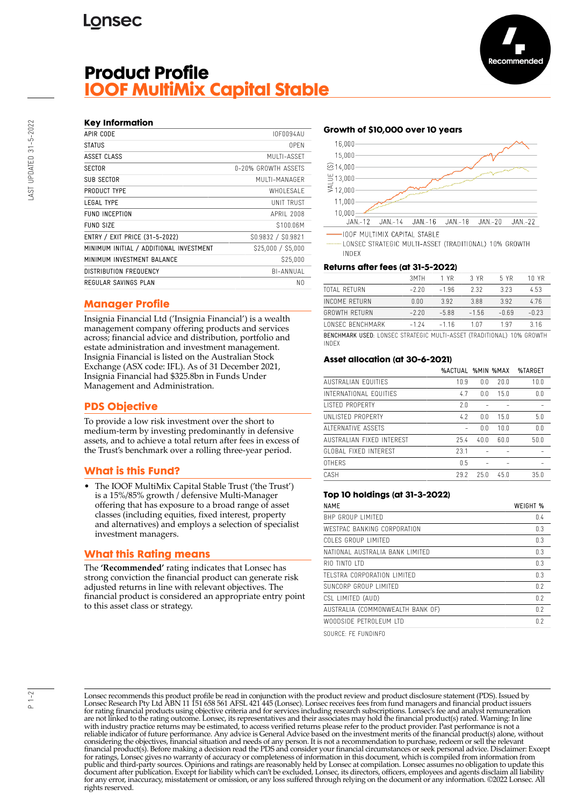# **Lonsec**

## **Product Profile IOOF MultiMix Capital Stable**



| APIR CODE                               | <b>IOF0094AU</b>    |
|-----------------------------------------|---------------------|
| <b>STATUS</b>                           | 0PFN                |
| ASSET CLASS                             | MUITI-ASSFT         |
| <b>SECTOR</b>                           | 0-20% GROWTH ASSFTS |
| <b>SUB SECTOR</b>                       | MUITI-MANAGER       |
| PRODUCT TYPE                            | WHOI FSAI F         |
| <b>LEGAL TYPE</b>                       | <b>UNIT TRUST</b>   |
| <b>FUND INCEPTION</b>                   | APRII 2008          |
| <b>FUND SIZE</b>                        | \$100.06M           |
| ENTRY / EXIT PRICE (31-5-2022)          | S0.9832 / S0.9821   |
| MINIMUM INITIAL / ADDITIONAL INVESTMENT | \$25,000 / \$5,000  |
| MINIMUM INVESTMENT BALANCE              | \$25,000            |
| <b>DISTRIBUTION FREQUENCY</b>           | <b>BI-ANNUAL</b>    |
| REGULAR SAVINGS PLAN                    | N0                  |
|                                         |                     |

## **Manager Profile**

Insignia Financial Ltd ('Insignia Financial') is a wealth management company offering products and services across; financial advice and distribution, portfolio and estate administration and investment management. Insignia Financial is listed on the Australian Stock Exchange (ASX code: IFL). As of 31 December 2021, Insignia Financial had \$325.8bn in Funds Under Management and Administration.

## **PDS Objective**

To provide a low risk investment over the short to medium-term by investing predominantly in defensive assets, and to achieve a total return after fees in excess of the Trust's benchmark over a rolling three-year period.

### **What is this Fund?**

• The IOOF MultiMix Capital Stable Trust ('the Trust') is a 15%/85% growth / defensive Multi-Manager offering that has exposure to a broad range of asset classes (including equities, fixed interest, property and alternatives) and employs a selection of specialist investment managers.

### **What this Rating means**

The **'Recommended'** rating indicates that Lonsec has strong conviction the financial product can generate risk adjusted returns in line with relevant objectives. The financial product is considered an appropriate entry point to this asset class or strategy.

#### **Growth of \$10,000 over 10 years**



**IOOF MULTIMIX CAPITAL STABLE** 

LONSEC STRATEGIC MULTI-ASSET (TRADITIONAL) 10% GROWTH **INDEX** 

#### **Returns after fees (at 31-5-2022)**

|                                                                       | 3MTH    | 1 YR    | 3 YR    | 5 YR   | 10 YR   |
|-----------------------------------------------------------------------|---------|---------|---------|--------|---------|
| TOTAL RETURN                                                          | $-2.20$ | $-1.96$ | 2.32    | 323    | 4.53    |
| INCOME RETURN                                                         | 0.00    | 392     | 3.88    | 392    | 4.76    |
| GROWTH RFTURN                                                         | $-2.20$ | $-588$  | $-1.56$ | $-069$ | $-0.23$ |
| <b><i>LONSEC BENCHMARK</i></b>                                        | $-1.24$ | $-1.16$ | 1 በ7    | 197    | 316     |
| BENCHMARK USED: LONSEC STRATEGIC MULTI-ASSET (TRADITIONAL) 10% GROWTH |         |         |         |        |         |

INDEX

### **Asset allocation (at 30-6-2021)**

|                            | %ACTUAL %MIN %MAX |      |      | %TARGET |
|----------------------------|-------------------|------|------|---------|
| <b>AUSTRALIAN FOUITIES</b> | 10.9              | 0.0  | 20.0 | 10.0    |
| INTERNATIONAL FOUITIES     | 4.7               | 0.0  | 15.0 | 0.0     |
| <b>LISTED PROPERTY</b>     | 2.0               |      |      |         |
| UNI ISTED PROPERTY         | 4.2               | 0.0  | 15.0 | 5.0     |
| ALTERNATIVE ASSETS         |                   | 0.0  | 10.0 | 0.0     |
| AUSTRALIAN FIXED INTERFST  | 25.4              | 40 N | 60.0 | 50.0    |
| GLOBAL FIXED INTEREST      | 23.1              |      |      |         |
| OTHERS                     | 0.5               |      |      |         |
| CASH                       | 29.2              | 25.0 | 45.0 | 35.0    |

#### **Top 10 holdings (at 31-3-2022)**

| <b>NAME</b>                      | WEIGHT % |
|----------------------------------|----------|
| BHP GROUP LIMITED                | 0.4      |
| WESTPAC BANKING CORPORATION      | 0.3      |
| COLES GROUP LIMITED              | 0.3      |
| NATIONAL AUSTRALIA BANK LIMITED  | 0.3      |
| RIO TINTO ITD                    | 0.3      |
| TELSTRA CORPORATION LIMITED      | 0.3      |
| SUNCORP GROUP LIMITED            | 0.2      |
| CSL LIMITED (AUD)                | 0.2      |
| AUSTRALIA (COMMONWEALTH BANK OF) | 0.2      |
| WOODSIDE PETROLEUM LTD           | 0.2      |

SOURCE: FE FUNDINFO

Lonsec recommends this product profile be read in conjunction with the product review and product disclosure statement (PDS). Issued by Lonsec Research Pty Ltd ABN 11 151 658 561 AFSL 421 445 (Lonsec). Lonsec receives fees from fund managers and financial product issuers for rating financial products using objective criteria and for services including research subscriptions. Lonsec's fee and analyst remuneration are not linked to the rating outcome. Lonsec, its representatives and their associates may hold the financial product(s) rated. Warning: In line with industry practice returns may be estimated, to access verified returns please refer to the product provider. Past performance is not a reliable indicator of future performance. Any advice is General Advice based on the investment merits of the financial product(s) alone, without considering the objectives, financial situation and needs of any person. It is not a recommendation to purchase, redeem or sell the relevant<br>financial product(s). Before making a decision read the PDS and consider your fin public and third-party sources. Opinions and ratings are reasonably held by Lonsec at compilation. Lonsec assumes no obligation to update this document after publication. Except for liability which can't be excluded, Lonsec, its directors, officers, employees and agents disclaim all liability for any error, inaccuracy, misstatement or omission, or any loss suffered through relying on the document or any information. ©2022 Lonsec. All rights reserved.